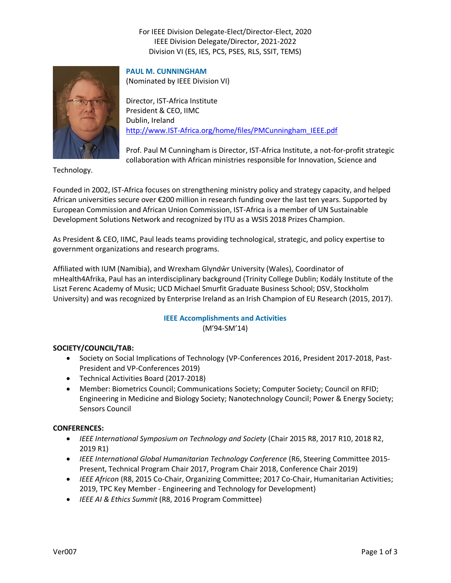# For IEEE Division Delegate-Elect/Director-Elect, 2020 IEEE Division Delegate/Director, 2021-2022 Division VI (ES, IES, PCS, PSES, RLS, SSIT, TEMS)



### **PAUL M. CUNNINGHAM**

(Nominated by IEEE Division VI)

Director, IST-Africa Institute President & CEO, IIMC Dublin, Ireland [http://www.IST-Africa.org/home/files/PMCunningham\\_IEEE.pdf](http://www.ist-africa.org/home/files/PMCunningham_IEEE.pdf)

Prof. Paul M Cunningham is Director, IST-Africa Institute, a not-for-profit strategic collaboration with African ministries responsible for Innovation, Science and

Technology.

Founded in 2002, IST-Africa focuses on strengthening ministry policy and strategy capacity, and helped African universities secure over €200 million in research funding over the last ten years. Supported by European Commission and African Union Commission, IST-Africa is a member of UN Sustainable Development Solutions Network and recognized by ITU as a WSIS 2018 Prizes Champion.

As President & CEO, IIMC, Paul leads teams providing technological, strategic, and policy expertise to government organizations and research programs.

Affiliated with IUM (Namibia), and Wrexham Glyndŵr University (Wales), Coordinator of mHealth4Afrika, Paul has an interdisciplinary background (Trinity College Dublin; Kodály Institute of the Liszt Ferenc Academy of Music; UCD Michael Smurfit Graduate Business School; DSV, Stockholm University) and was recognized by Enterprise Ireland as an Irish Champion of EU Research (2015, 2017).

## **IEEE Accomplishments and Activities** (M'94-SM'14)

### **SOCIETY/COUNCIL/TAB:**

- Society on Social Implications of Technology (VP-Conferences 2016, President 2017-2018, Past-President and VP-Conferences 2019)
- Technical Activities Board (2017-2018)
- Member: Biometrics Council; Communications Society; Computer Society; Council on RFID; Engineering in Medicine and Biology Society; Nanotechnology Council; Power & Energy Society; Sensors Council

### **CONFERENCES:**

- *IEEE International Symposium on Technology and Society* (Chair 2015 R8, 2017 R10, 2018 R2, 2019 R1)
- *IEEE International Global Humanitarian Technology Conference* (R6, Steering Committee 2015- Present, Technical Program Chair 2017, Program Chair 2018, Conference Chair 2019)
- *IEEE Africon* (R8, 2015 Co-Chair, Organizing Committee; 2017 Co-Chair, Humanitarian Activities; 2019, TPC Key Member - Engineering and Technology for Development)
- *IEEE AI & Ethics Summit* (R8, 2016 Program Committee)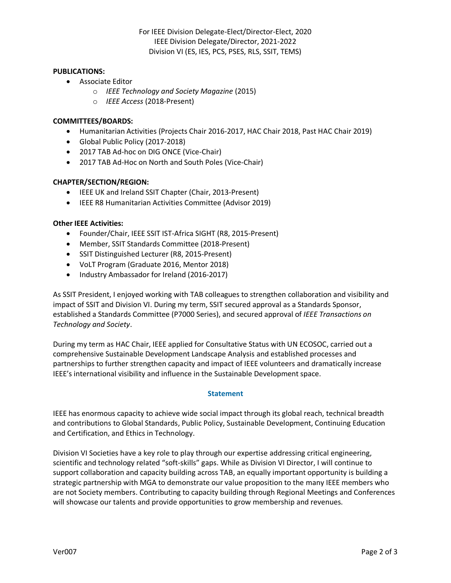#### **PUBLICATIONS:**

- Associate Editor
	- o *IEEE Technology and Society Magazine* (2015)
	- o *IEEE Access* (2018-Present)

### **COMMITTEES/BOARDS:**

- Humanitarian Activities (Projects Chair 2016-2017, HAC Chair 2018, Past HAC Chair 2019)
- Global Public Policy (2017-2018)
- 2017 TAB Ad-hoc on DIG ONCE (Vice-Chair)
- 2017 TAB Ad-Hoc on North and South Poles (Vice-Chair)

### **CHAPTER/SECTION/REGION:**

- IEEE UK and Ireland SSIT Chapter (Chair, 2013-Present)
- IEEE R8 Humanitarian Activities Committee (Advisor 2019)

### **Other IEEE Activities:**

- Founder/Chair, IEEE SSIT IST-Africa SIGHT (R8, 2015-Present)
- Member, SSIT Standards Committee (2018-Present)
- SSIT Distinguished Lecturer (R8, 2015-Present)
- VoLT Program (Graduate 2016, Mentor 2018)
- Industry Ambassador for Ireland (2016-2017)

As SSIT President, I enjoyed working with TAB colleagues to strengthen collaboration and visibility and impact of SSIT and Division VI. During my term, SSIT secured approval as a Standards Sponsor, established a Standards Committee (P7000 Series), and secured approval of *IEEE Transactions on Technology and Society*.

During my term as HAC Chair, IEEE applied for Consultative Status with UN ECOSOC, carried out a comprehensive Sustainable Development Landscape Analysis and established processes and partnerships to further strengthen capacity and impact of IEEE volunteers and dramatically increase IEEE's international visibility and influence in the Sustainable Development space.

### **Statement**

IEEE has enormous capacity to achieve wide social impact through its global reach, technical breadth and contributions to Global Standards, Public Policy, Sustainable Development, Continuing Education and Certification, and Ethics in Technology.

Division VI Societies have a key role to play through our expertise addressing critical engineering, scientific and technology related "soft-skills" gaps. While as Division VI Director, I will continue to support collaboration and capacity building across TAB, an equally important opportunity is building a strategic partnership with MGA to demonstrate our value proposition to the many IEEE members who are not Society members. Contributing to capacity building through Regional Meetings and Conferences will showcase our talents and provide opportunities to grow membership and revenues.